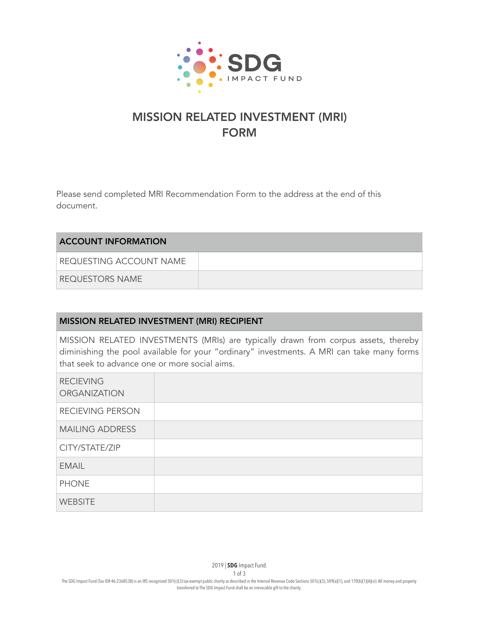

## MISSION RELATED INVESTMENT (MRI) FORM

Please send completed MRI Recommendation Form to the address at the end of this document.

| <b>ACCOUNT INFORMATION</b> |  |
|----------------------------|--|
| REQUESTING ACCOUNT NAME    |  |
| REQUESTORS NAME            |  |

## MISSION RELATED INVESTMENT (MRI) RECIPIENT

MISSION RELATED INVESTMENTS (MRIs) are typically drawn from corpus assets, thereby diminishing the pool available for your "ordinary" investments. A MRI can take many forms that seek to advance one or more social aims.

| <b>RECIEVING</b><br><b>ORGANIZATION</b> |  |
|-----------------------------------------|--|
| RECIEVING PERSON                        |  |
| <b>MAILING ADDRESS</b>                  |  |
| CITY/STATE/ZIP                          |  |
| <b>EMAIL</b>                            |  |
| <b>PHONE</b>                            |  |
| <b>WEBSITE</b>                          |  |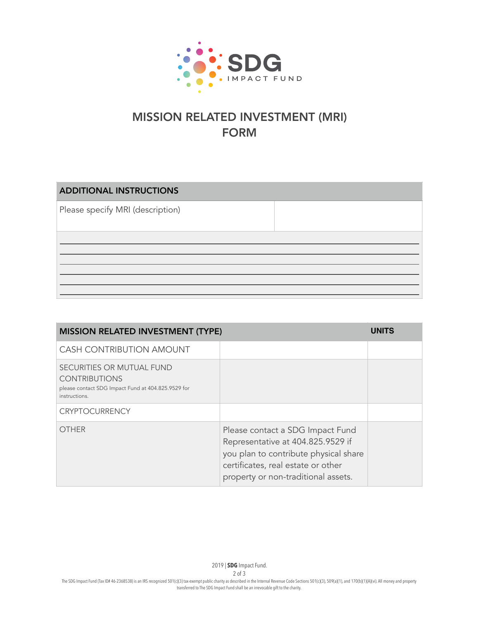

## MISSION RELATED INVESTMENT (MRI) FORM

ADDITIONAL INSTRUCTIONS Please specify MRI (description)

| <b>MISSION RELATED INVESTMENT (TYPE)</b>                                                                                 |                                                                                                                                                                                             | <b>UNITS</b> |
|--------------------------------------------------------------------------------------------------------------------------|---------------------------------------------------------------------------------------------------------------------------------------------------------------------------------------------|--------------|
| <b>CASH CONTRIBUTION AMOUNT</b>                                                                                          |                                                                                                                                                                                             |              |
| SECURITIES OR MUTUAL FUND<br><b>CONTRIBUTIONS</b><br>please contact SDG Impact Fund at 404.825.9529 for<br>instructions. |                                                                                                                                                                                             |              |
| <b>CRYPTOCURRENCY</b>                                                                                                    |                                                                                                                                                                                             |              |
| <b>OTHER</b>                                                                                                             | Please contact a SDG Impact Fund<br>Representative at 404.825.9529 if<br>you plan to contribute physical share<br>certificates, real estate or other<br>property or non-traditional assets. |              |

2 of 3